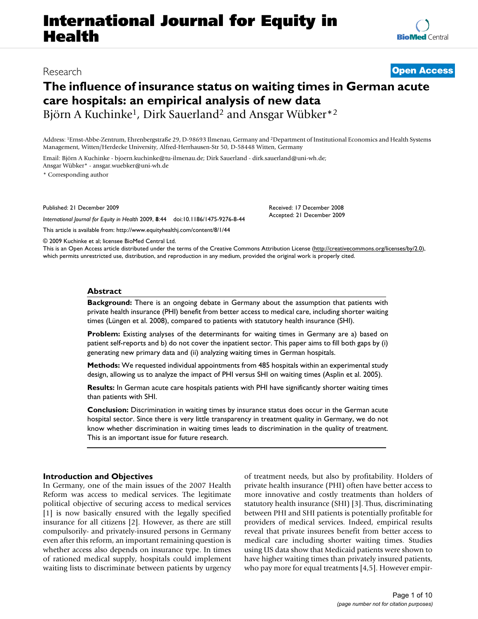# **International Journal for Equity in Health**

# Research **[Open Access](http://www.biomedcentral.com/info/about/charter/)**

# **The influence of insurance status on waiting times in German acute care hospitals: an empirical analysis of new data**

Björn A Kuchinke1, Dirk Sauerland2 and Ansgar Wübker\*2

Address: 1Ernst-Abbe-Zentrum, Ehrenbergstraße 29, D-98693 Ilmenau, Germany and 2Department of Institutional Economics and Health Systems Management, Witten/Herdecke University, Alfred-Herrhausen-Str 50, D-58448 Witten, Germany

Email: Björn A Kuchinke - bjoern.kuchinke@tu-ilmenau.de; Dirk Sauerland - dirk.sauerland@uni-wh.de; Ansgar Wübker\* - ansgar.wuebker@uni-wh.de

\* Corresponding author

Published: 21 December 2009

*International Journal for Equity in Health* 2009, **8**:44 doi:10.1186/1475-9276-8-44

[This article is available from: http://www.equityhealthj.com/content/8/1/44](http://www.equityhealthj.com/content/8/1/44)

© 2009 Kuchinke et al; licensee BioMed Central Ltd.

This is an Open Access article distributed under the terms of the Creative Commons Attribution License [\(http://creativecommons.org/licenses/by/2.0\)](http://creativecommons.org/licenses/by/2.0), which permits unrestricted use, distribution, and reproduction in any medium, provided the original work is properly cited.

# **Abstract**

**Background:** There is an ongoing debate in Germany about the assumption that patients with private health insurance (PHI) benefit from better access to medical care, including shorter waiting times (Lüngen et al. 2008), compared to patients with statutory health insurance (SHI).

**Problem:** Existing analyses of the determinants for waiting times in Germany are a) based on patient self-reports and b) do not cover the inpatient sector. This paper aims to fill both gaps by (i) generating new primary data and (ii) analyzing waiting times in German hospitals.

**Methods:** We requested individual appointments from 485 hospitals within an experimental study design, allowing us to analyze the impact of PHI versus SHI on waiting times (Asplin et al. 2005).

**Results:** In German acute care hospitals patients with PHI have significantly shorter waiting times than patients with SHI.

**Conclusion:** Discrimination in waiting times by insurance status does occur in the German acute hospital sector. Since there is very little transparency in treatment quality in Germany, we do not know whether discrimination in waiting times leads to discrimination in the quality of treatment. This is an important issue for future research.

#### **Introduction and Objectives**

In Germany, one of the main issues of the 2007 Health Reform was access to medical services. The legitimate political objective of securing access to medical services [1] is now basically ensured with the legally specified insurance for all citizens [2]. However, as there are still compulsorily- and privately-insured persons in Germany even after this reform, an important remaining question is whether access also depends on insurance type. In times of rationed medical supply, hospitals could implement waiting lists to discriminate between patients by urgency of treatment needs, but also by profitability. Holders of private health insurance (PHI) often have better access to more innovative and costly treatments than holders of statutory health insurance (SHI) [3]. Thus, discriminating between PHI and SHI patients is potentially profitable for providers of medical services. Indeed, empirical results reveal that private insurees benefit from better access to medical care including shorter waiting times. Studies using US data show that Medicaid patients were shown to have higher waiting times than privately insured patients, who pay more for equal treatments [4,5]. However empir-

Received: 17 December 2008 Accepted: 21 December 2009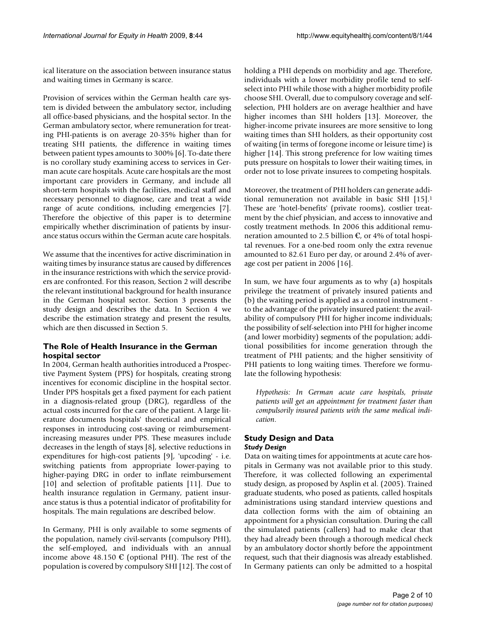ical literature on the association between insurance status and waiting times in Germany is scarce.

Provision of services within the German health care system is divided between the ambulatory sector, including all office-based physicians, and the hospital sector. In the German ambulatory sector, where remuneration for treating PHI-patients is on average 20-35% higher than for treating SHI patients, the difference in waiting times between patient types amounts to 300% [6]. To-date there is no corollary study examining access to services in German acute care hospitals. Acute care hospitals are the most important care providers in Germany, and include all short-term hospitals with the facilities, medical staff and necessary personnel to diagnose, care and treat a wide range of acute conditions, including emergencies [7]. Therefore the objective of this paper is to determine empirically whether discrimination of patients by insurance status occurs within the German acute care hospitals.

We assume that the incentives for active discrimination in waiting times by insurance status are caused by differences in the insurance restrictions with which the service providers are confronted. For this reason, Section 2 will describe the relevant institutional background for health insurance in the German hospital sector. Section 3 presents the study design and describes the data. In Section 4 we describe the estimation strategy and present the results, which are then discussed in Section 5.

# **The Role of Health Insurance in the German hospital sector**

In 2004, German health authorities introduced a Prospective Payment System (PPS) for hospitals, creating strong incentives for economic discipline in the hospital sector. Under PPS hospitals get a fixed payment for each patient in a diagnosis-related group (DRG), regardless of the actual costs incurred for the care of the patient. A large literature documents hospitals' theoretical and empirical responses in introducing cost-saving or reimbursementincreasing measures under PPS. These measures include decreases in the length of stays [8], selective reductions in expenditures for high-cost patients [9], 'upcoding' - i.e. switching patients from appropriate lower-paying to higher-paying DRG in order to inflate reimbursement [10] and selection of profitable patients [11]. Due to health insurance regulation in Germany, patient insurance status is thus a potential indicator of profitability for hospitals. The main regulations are described below.

In Germany, PHI is only available to some segments of the population, namely civil-servants (compulsory PHI), the self-employed, and individuals with an annual income above 48.150  $\mathfrak{C}$  (optional PHI). The rest of the population is covered by compulsory SHI [12]. The cost of holding a PHI depends on morbidity and age. Therefore, individuals with a lower morbidity profile tend to selfselect into PHI while those with a higher morbidity profile choose SHI. Overall, due to compulsory coverage and selfselection, PHI holders are on average healthier and have higher incomes than SHI holders [13]. Moreover, the higher-income private insurees are more sensitive to long waiting times than SHI holders, as their opportunity cost of waiting (in terms of foregone income or leisure time) is higher [14]. This strong preference for low waiting times puts pressure on hospitals to lower their waiting times, in order not to lose private insurees to competing hospitals.

Moreover, the treatment of PHI holders can generate additional remuneration not available in basic SHI [15].1 These are 'hotel-benefits' (private rooms), costlier treatment by the chief physician, and access to innovative and costly treatment methods. In 2006 this additional remuneration amounted to 2.5 billion  $\epsilon$ , or 4% of total hospital revenues. For a one-bed room only the extra revenue amounted to 82.61 Euro per day, or around 2.4% of average cost per patient in 2006 [16].

In sum, we have four arguments as to why (a) hospitals privilege the treatment of privately insured patients and (b) the waiting period is applied as a control instrument to the advantage of the privately insured patient: the availability of compulsory PHI for higher income individuals; the possibility of self-selection into PHI for higher income (and lower morbidity) segments of the population; additional possibilities for income generation through the treatment of PHI patients; and the higher sensitivity of PHI patients to long waiting times. Therefore we formulate the following hypothesis:

*Hypothesis: In German acute care hospitals, private patients will get an appointment for treatment faster than compulsorily insured patients with the same medical indication*.

# **Study Design and Data** *Study Design*

Data on waiting times for appointments at acute care hospitals in Germany was not available prior to this study. Therefore, it was collected following an experimental study design, as proposed by Asplin et al. (2005). Trained graduate students, who posed as patients, called hospitals administrations using standard interview questions and data collection forms with the aim of obtaining an appointment for a physician consultation. During the call the simulated patients (callers) had to make clear that they had already been through a thorough medical check by an ambulatory doctor shortly before the appointment request, such that their diagnosis was already established. In Germany patients can only be admitted to a hospital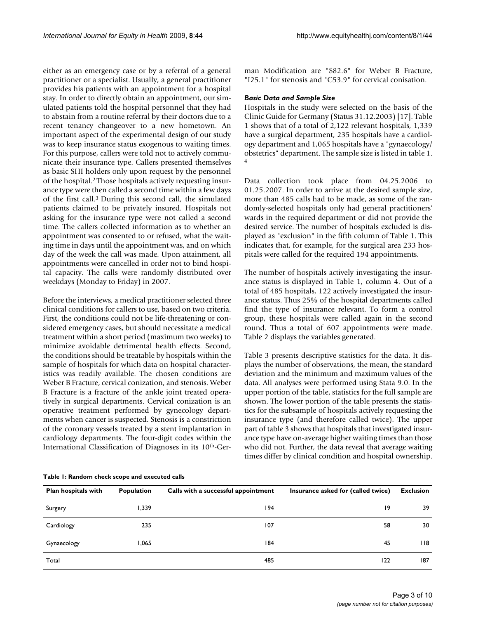either as an emergency case or by a referral of a general practitioner or a specialist. Usually, a general practitioner provides his patients with an appointment for a hospital stay. In order to directly obtain an appointment, our simulated patients told the hospital personnel that they had to abstain from a routine referral by their doctors due to a recent tenancy changeover to a new hometown. An important aspect of the experimental design of our study was to keep insurance status exogenous to waiting times. For this purpose, callers were told not to actively communicate their insurance type. Callers presented themselves as basic SHI holders only upon request by the personnel of the hospital.2 Those hospitals actively requesting insurance type were then called a second time within a few days of the first call.3 During this second call, the simulated patients claimed to be privately insured. Hospitals not asking for the insurance type were not called a second time. The callers collected information as to whether an appointment was consented to or refused, what the waiting time in days until the appointment was, and on which day of the week the call was made. Upon attainment, all appointments were cancelled in order not to bind hospital capacity. The calls were randomly distributed over weekdays (Monday to Friday) in 2007.

Before the interviews, a medical practitioner selected three clinical conditions for callers to use, based on two criteria. First, the conditions could not be life-threatening or considered emergency cases, but should necessitate a medical treatment within a short period (maximum two weeks) to minimize avoidable detrimental health effects. Second, the conditions should be treatable by hospitals within the sample of hospitals for which data on hospital characteristics was readily available. The chosen conditions are Weber B Fracture, cervical conization, and stenosis. Weber B Fracture is a fracture of the ankle joint treated operatively in surgical departments. Cervical conization is an operative treatment performed by gynecology departments when cancer is suspected. Stenosis is a constriction of the coronary vessels treated by a stent implantation in cardiology departments. The four-digit codes within the International Classification of Diagnoses in its 10th-Ger-

**Table 1: Random check scope and executed calls**

man Modification are "S82.6" for Weber B Fracture, "I25.1" for stenosis and "C53.9" for cervical conisation.

# *Basic Data and Sample Size*

Hospitals in the study were selected on the basis of the Clinic Guide for Germany (Status 31.12.2003) [17]. Table 1 shows that of a total of 2,122 relevant hospitals, 1,339 have a surgical department, 235 hospitals have a cardiology department and 1,065 hospitals have a "gynaecology/ obstetrics" department. The sample size is listed in table 1. 4

Data collection took place from 04.25.2006 to 01.25.2007. In order to arrive at the desired sample size, more than 485 calls had to be made, as some of the randomly-selected hospitals only had general practitioners' wards in the required department or did not provide the desired service. The number of hospitals excluded is displayed as "exclusion" in the fifth column of Table 1. This indicates that, for example, for the surgical area 233 hospitals were called for the required 194 appointments.

The number of hospitals actively investigating the insurance status is displayed in Table 1, column 4. Out of a total of 485 hospitals, 122 actively investigated the insurance status. Thus 25% of the hospital departments called find the type of insurance relevant. To form a control group, these hospitals were called again in the second round. Thus a total of 607 appointments were made. Table 2 displays the variables generated.

Table 3 presents descriptive statistics for the data. It displays the number of observations, the mean, the standard deviation and the minimum and maximum values of the data. All analyses were performed using Stata 9.0. In the upper portion of the table, statistics for the full sample are shown. The lower portion of the table presents the statistics for the subsample of hospitals actively requesting the insurance type (and therefore called twice). The upper part of table 3 shows that hospitals that investigated insurance type have on-average higher waiting times than those who did not. Further, the data reveal that average waiting times differ by clinical condition and hospital ownership.

| Plan hospitals with | Population | Calls with a successful appointment | Insurance asked for (called twice) | <b>Exclusion</b> |
|---------------------|------------|-------------------------------------|------------------------------------|------------------|
| Surgery             | 1,339      | 194                                 | 19                                 | 39               |
| Cardiology          | 235        | 107                                 | 58                                 | 30               |
| Gynaecology         | 1,065      | 184                                 | 45                                 | 118              |
| Total               |            | 485                                 | 122                                | 187              |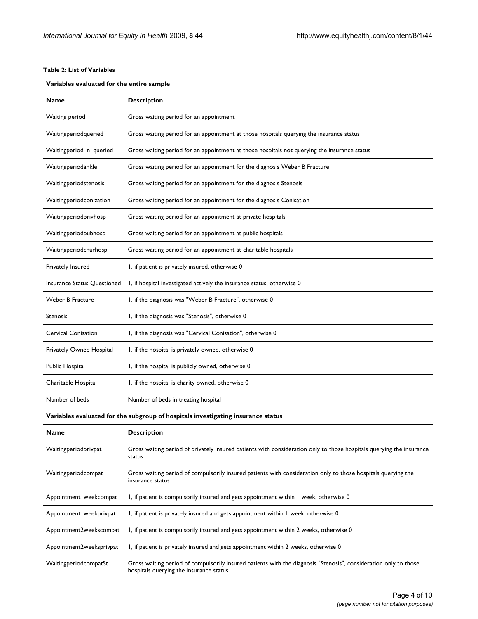#### **Table 2: List of Variables**

| Variables evaluated for the entire sample |                                                                                                                                                             |  |  |  |
|-------------------------------------------|-------------------------------------------------------------------------------------------------------------------------------------------------------------|--|--|--|
| Name                                      | <b>Description</b>                                                                                                                                          |  |  |  |
| Waiting period                            | Gross waiting period for an appointment                                                                                                                     |  |  |  |
| Waitingperiodqueried                      | Gross waiting period for an appointment at those hospitals querying the insurance status                                                                    |  |  |  |
| Waitingperiod_n_queried                   | Gross waiting period for an appointment at those hospitals not querying the insurance status                                                                |  |  |  |
| Waitingperiodankle                        | Gross waiting period for an appointment for the diagnosis Weber B Fracture                                                                                  |  |  |  |
| Waitingperiodstenosis                     | Gross waiting period for an appointment for the diagnosis Stenosis                                                                                          |  |  |  |
| Waitingperiodconization                   | Gross waiting period for an appointment for the diagnosis Conisation                                                                                        |  |  |  |
| Waitingperiodprivhosp                     | Gross waiting period for an appointment at private hospitals                                                                                                |  |  |  |
| Waitingperiodpubhosp                      | Gross waiting period for an appointment at public hospitals                                                                                                 |  |  |  |
| Waitingperiodcharhosp                     | Gross waiting period for an appointment at charitable hospitals                                                                                             |  |  |  |
| Privately Insured                         | I, if patient is privately insured, otherwise 0                                                                                                             |  |  |  |
| Insurance Status Questioned               | I, if hospital investigated actively the insurance status, otherwise 0                                                                                      |  |  |  |
| <b>Weber B Fracture</b>                   | I, if the diagnosis was "Weber B Fracture", otherwise 0                                                                                                     |  |  |  |
| <b>Stenosis</b>                           | I, if the diagnosis was "Stenosis", otherwise 0                                                                                                             |  |  |  |
| <b>Cervical Conisation</b>                | I, if the diagnosis was "Cervical Conisation", otherwise 0                                                                                                  |  |  |  |
| Privately Owned Hospital                  | I, if the hospital is privately owned, otherwise 0                                                                                                          |  |  |  |
| <b>Public Hospital</b>                    | I, if the hospital is publicly owned, otherwise 0                                                                                                           |  |  |  |
| Charitable Hospital                       | I, if the hospital is charity owned, otherwise 0                                                                                                            |  |  |  |
| Number of beds                            | Number of beds in treating hospital                                                                                                                         |  |  |  |
|                                           | Variables evaluated for the subgroup of hospitals investigating insurance status                                                                            |  |  |  |
| Name                                      | <b>Description</b>                                                                                                                                          |  |  |  |
| Waitingperiodprivpat                      | Gross waiting period of privately insured patients with consideration only to those hospitals querying the insurance<br>status                              |  |  |  |
| Waitingperiodcompat                       | Gross waiting period of compulsorily insured patients with consideration only to those hospitals querying the<br>insurance status                           |  |  |  |
| Appointment I week compat                 | I, if patient is compulsorily insured and gets appointment within I week, otherwise 0                                                                       |  |  |  |
| Appointment I weekprivpat                 | I, if patient is privately insured and gets appointment within I week, otherwise 0                                                                          |  |  |  |
| Appointment2weekscompat                   | I, if patient is compulsorily insured and gets appointment within 2 weeks, otherwise 0                                                                      |  |  |  |
| Appointment2weeksprivpat                  | I, if patient is privately insured and gets appointment within 2 weeks, otherwise 0                                                                         |  |  |  |
| WaitingperiodcompatSt                     | Gross waiting period of compulsorily insured patients with the diagnosis "Stenosis", consideration only to those<br>hospitals querying the insurance status |  |  |  |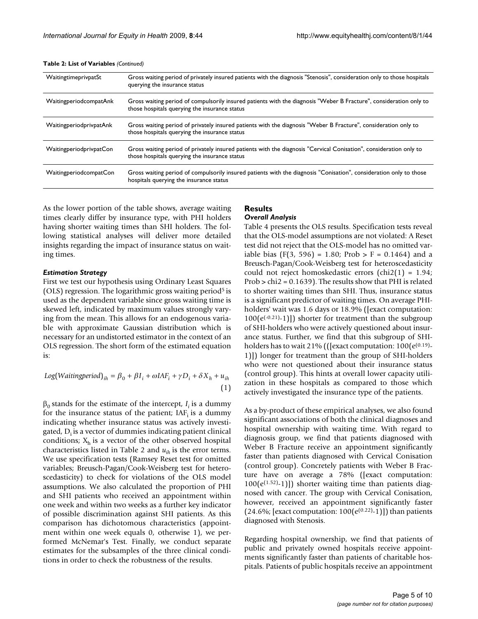| WaitingtimeprivpatSt    | Gross waiting period of privately insured patients with the diagnosis "Stenosis", consideration only to those hospitals<br>querying the insurance status            |
|-------------------------|---------------------------------------------------------------------------------------------------------------------------------------------------------------------|
| WaitingperiodcompatAnk  | Gross waiting period of compulsorily insured patients with the diagnosis "Weber B Fracture", consideration only to<br>those hospitals querying the insurance status |
| WaitingperiodprivpatAnk | Gross waiting period of privately insured patients with the diagnosis "Weber B Fracture", consideration only to<br>those hospitals querying the insurance status    |
| WaitingperiodprivpatCon | Gross waiting period of privately insured patients with the diagnosis "Cervical Conisation", consideration only to<br>those hospitals querying the insurance status |
| WaitingperiodcompatCon  | Gross waiting period of compulsorily insured patients with the diagnosis "Conisation", consideration only to those<br>hospitals querying the insurance status       |

#### **Table 2: List of Variables** *(Continued)*

As the lower portion of the table shows, average waiting times clearly differ by insurance type, with PHI holders having shorter waiting times than SHI holders. The following statistical analyses will deliver more detailed insights regarding the impact of insurance status on waiting times.

#### *Estimation Strategy*

First we test our hypothesis using Ordinary Least Squares (OLS) regression. The logarithmic gross waiting period<sup>5</sup> is used as the dependent variable since gross waiting time is skewed left, indicated by maximum values strongly varying from the mean. This allows for an endogenous variable with approximate Gaussian distribution which is necessary for an undistorted estimator in the context of an OLS regression. The short form of the estimated equation is:

$$
Log(Waiting period)_{ih} = \beta_0 + \beta I_i + \omega I A F_i + \gamma D_i + \delta X_h + u_{ih}
$$
\n(1)

 $β<sub>0</sub>$  stands for the estimate of the intercept,  $I<sub>i</sub>$  is a dummy for the insurance status of the patient;  $IAF<sub>i</sub>$  is a dummy indicating whether insurance status was actively investigated,  $D_i$  is a vector of dummies indicating patient clinical conditions;  $X_h$  is a vector of the other observed hospital characteristics listed in Table 2 and *uih* is the error terms. We use specification tests (Ramsey Reset test for omitted variables; Breusch-Pagan/Cook-Weisberg test for heteroscedasticity) to check for violations of the OLS model assumptions. We also calculated the proportion of PHI and SHI patients who received an appointment within one week and within two weeks as a further key indicator of possible discrimination against SHI patients. As this comparison has dichotomous characteristics (appointment within one week equals 0, otherwise 1), we performed McNemar's Test. Finally, we conduct separate estimates for the subsamples of the three clinical conditions in order to check the robustness of the results.

# **Results** *Overall Analysis*

Table 4 presents the OLS results. Specification tests reveal that the OLS-model assumptions are not violated: A Reset test did not reject that the OLS-model has no omitted variable bias (F(3, 596) = 1.80; Prob > F = 0.1464) and a Breusch-Pagan/Cook-Weisberg test for heteroscedasticity could not reject homoskedastic errors (chi2(1) = 1.94;  $Prob > chi2 = 0.1639$ . The results show that PHI is related to shorter waiting times than SHI. Thus, insurance status is a significant predictor of waiting times. On average PHIholders' wait was 1.6 days or 18.9% ([exact computation:  $100(e^{(-0.21)}-1)$ ]) shorter for treatment than the subgroup of SHI-holders who were actively questioned about insurance status. Further, we find that this subgroup of SHIholders has to wait 21% (([exact computation:  $100(e^{(0.19)}-)$ 1)]) longer for treatment than the group of SHI-holders who were not questioned about their insurance status (control group). This hints at overall lower capacity utilization in these hospitals as compared to those which actively investigated the insurance type of the patients.

As a by-product of these empirical analyses, we also found significant associations of both the clinical diagnoses and hospital ownership with waiting time. With regard to diagnosis group, we find that patients diagnosed with Weber B Fracture receive an appointment significantly faster than patients diagnosed with Cervical Conisation (control group). Concretely patients with Weber B Fracture have on average a 78% ([exact computation:  $100(e^{(1.52)-1})$ ]) shorter waiting time than patients diagnosed with cancer. The group with Cervical Conisation, however, received an appointment significantly faster (24.6%; [exact computation:  $100(e^{(0.22)}-1)$ ]) than patients diagnosed with Stenosis.

Regarding hospital ownership, we find that patients of public and privately owned hospitals receive appointments significantly faster than patients of charitable hospitals. Patients of public hospitals receive an appointment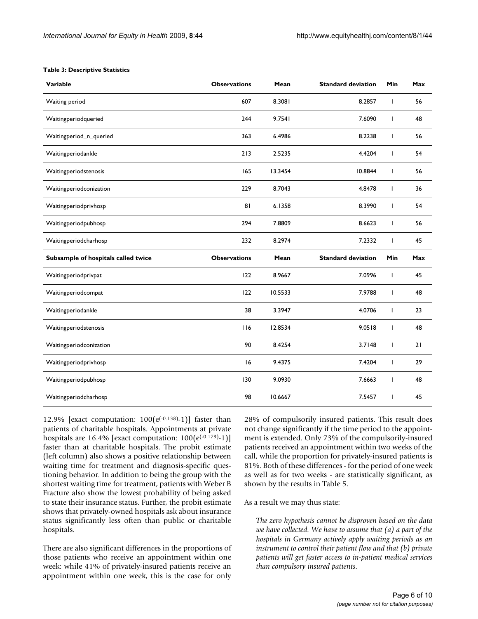#### **Table 3: Descriptive Statistics**

| Variable                            | <b>Observations</b> | Mean    | <b>Standard deviation</b> | Min          | Max |
|-------------------------------------|---------------------|---------|---------------------------|--------------|-----|
| Waiting period                      | 607                 | 8.3081  | 8.2857                    | ı            | 56  |
| Waitingperiodqueried                | 244                 | 9.7541  | 7.6090                    | L            | 48  |
| Waitingperiod_n_queried             | 363                 | 6.4986  | 8.2238                    | L            | 56  |
| Waitingperiodankle                  | 213                 | 2.5235  | 4.4204                    | L            | 54  |
| Waitingperiodstenosis               | 165                 | 13.3454 | 10.8844                   | L            | 56  |
| Waitingperiodconization             | 229                 | 8.7043  | 4.8478                    | $\mathbf{I}$ | 36  |
| Waitingperiodprivhosp               | 81                  | 6.1358  | 8.3990                    | $\mathbf{I}$ | 54  |
| Waitingperiodpubhosp                | 294                 | 7.8809  | 8.6623                    | L            | 56  |
| Waitingperiodcharhosp               | 232                 | 8.2974  | 7.2332                    | L            | 45  |
| Subsample of hospitals called twice | <b>Observations</b> | Mean    | <b>Standard deviation</b> | Min          | Max |
| Waitingperiodprivpat                | 122                 | 8.9667  | 7.0996                    | T            | 45  |
| Waitingperiodcompat                 | 122                 | 10.5533 | 7.9788                    | L            | 48  |
| Waitingperiodankle                  | 38                  | 3.3947  | 4.0706                    | L            | 23  |
| Waitingperiodstenosis               | 116                 | 12.8534 | 9.0518                    | L            | 48  |
| Waitingperiodconization             | 90                  | 8.4254  | 3.7148                    | L            | 21  |
| Waitingperiodprivhosp               | 16                  | 9.4375  | 7.4204                    | L            | 29  |
| Waitingperiodpubhosp                | 130                 | 9.0930  | 7.6663                    | L            | 48  |
| Waitingperiodcharhosp               | 98                  | 10.6667 | 7.5457                    | п            | 45  |

12.9% [exact computation:  $100(e^{(-0.138)}-1)$ ] faster than patients of charitable hospitals. Appointments at private hospitals are  $16.4\%$  [exact computation:  $100(e^{(-0.179)}-1)$ ] faster than at charitable hospitals. The probit estimate (left column) also shows a positive relationship between waiting time for treatment and diagnosis-specific questioning behavior. In addition to being the group with the shortest waiting time for treatment, patients with Weber B Fracture also show the lowest probability of being asked to state their insurance status. Further, the probit estimate shows that privately-owned hospitals ask about insurance status significantly less often than public or charitable hospitals.

There are also significant differences in the proportions of those patients who receive an appointment within one week: while 41% of privately-insured patients receive an appointment within one week, this is the case for only 28% of compulsorily insured patients. This result does not change significantly if the time period to the appointment is extended. Only 73% of the compulsorily-insured patients received an appointment within two weeks of the call, while the proportion for privately-insured patients is 81%. Both of these differences - for the period of one week as well as for two weeks - are statistically significant, as shown by the results in Table 5.

As a result we may thus state:

*The zero hypothesis cannot be disproven based on the data we have collected. We have to assume that (a) a part of the hospitals in Germany actively apply waiting periods as an instrument to control their patient flow and that (b) private patients will get faster access to in-patient medical services than compulsory insured patients*.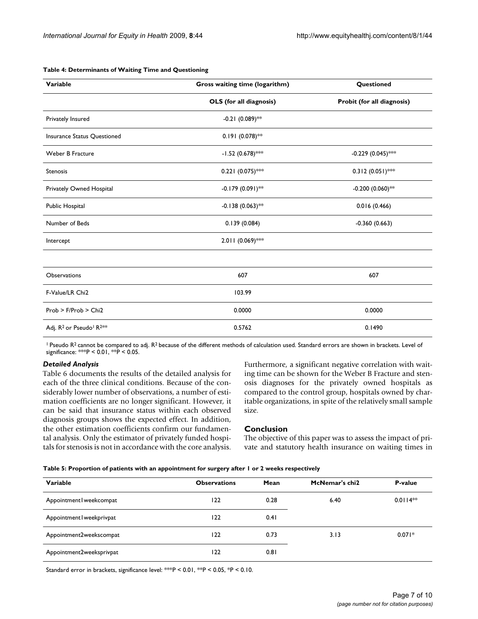| Variable                                                     | Gross waiting time (logarithm) | Questioned                 |
|--------------------------------------------------------------|--------------------------------|----------------------------|
|                                                              | OLS (for all diagnosis)        | Probit (for all diagnosis) |
| Privately Insured                                            | $-0.21$ (0.089)**              |                            |
| <b>Insurance Status Questioned</b>                           | $0.191(0.078)$ **              |                            |
| Weber B Fracture                                             | $-1.52$ (0.678)***             | $-0.229$ (0.045)***        |
| Stenosis                                                     | $0.221 (0.075)$ **             | $0.312(0.051)$ **          |
| Privately Owned Hospital                                     | $-0.179(0.091)$ **             | $-0.200(0.060)$ **         |
| Public Hospital                                              | $-0.138(0.063)$ **             | 0.016(0.466)               |
| Number of Beds                                               | 0.139(0.084)                   | $-0.360(0.663)$            |
| Intercept                                                    | 2.011 (0.069)***               |                            |
|                                                              |                                |                            |
| Observations                                                 | 607                            | 607                        |
| F-Value/LR Chi2                                              | 103.99                         |                            |
| Prob > F/Prob > Chi2                                         | 0.0000                         | 0.0000                     |
| Adj. R <sup>2</sup> or Pseudo <sup>1</sup> R <sup>2</sup> ** | 0.5762                         | 0.1490                     |

#### **Table 4: Determinants of Waiting Time and Questioning**

<sup>1</sup> Pseudo  $R^2$  cannot be compared to adj.  $R^2$  because of the different methods of calculation used. Standard errors are shown in brackets. Level of significance: \*\*\*P < 0.01, \*\*P < 0.05.

#### *Detailed Analysis*

Table 6 documents the results of the detailed analysis for each of the three clinical conditions. Because of the considerably lower number of observations, a number of estimation coefficients are no longer significant. However, it can be said that insurance status within each observed diagnosis groups shows the expected effect. In addition, the other estimation coefficients confirm our fundamental analysis. Only the estimator of privately funded hospitals for stenosis is not in accordance with the core analysis.

Furthermore, a significant negative correlation with waiting time can be shown for the Weber B Fracture and stenosis diagnoses for the privately owned hospitals as compared to the control group, hospitals owned by charitable organizations, in spite of the relatively small sample size.

# **Conclusion**

The objective of this paper was to assess the impact of private and statutory health insurance on waiting times in

|  |  | Table 5: Proportion of patients with an appointment for surgery after 1 or 2 weeks respectively |  |  |
|--|--|-------------------------------------------------------------------------------------------------|--|--|
|  |  |                                                                                                 |  |  |

| Variable                  | <b>Observations</b> | Mean | McNemar's chi2 | P-value    |
|---------------------------|---------------------|------|----------------|------------|
| Appointment I week compat | 122                 | 0.28 | 6.40           | $0.0114**$ |
| Appointment I weekprivpat | 122                 | 0.41 |                |            |
| Appointment2weekscompat   | 122                 | 0.73 | 3.13           | $0.071*$   |
| Appointment2weeksprivpat  | 122                 | 0.81 |                |            |

Standard error in brackets, significance level: \*\*\*P < 0.01, \*\*P < 0.05, \*P < 0.10.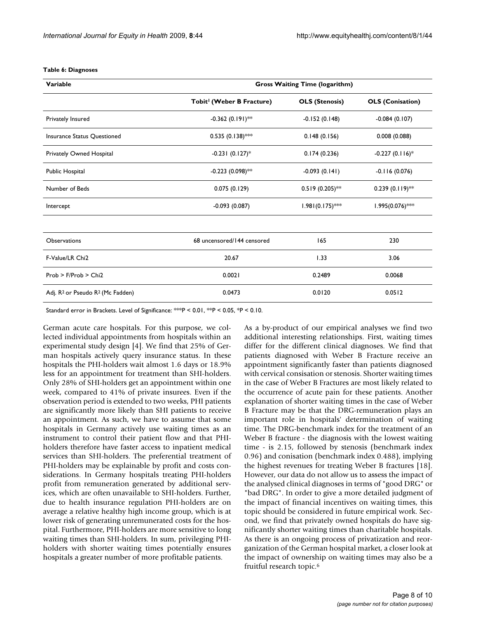| Table 6: Diagnoses |  |
|--------------------|--|
|--------------------|--|

| Variable                                                 | <b>Gross Waiting Time (logarithm)</b> |                       |                         |  |  |
|----------------------------------------------------------|---------------------------------------|-----------------------|-------------------------|--|--|
|                                                          | Tobit <sup>1</sup> (Weber B Fracture) | <b>OLS (Stenosis)</b> | <b>OLS</b> (Conisation) |  |  |
| Privately Insured                                        | $-0.362(0.191)$ **                    | $-0.152(0.148)$       | $-0.084(0.107)$         |  |  |
| Insurance Status Questioned                              | $0.535(0.138)$ ***                    | 0.148(0.156)          | 0.008(0.088)            |  |  |
| Privately Owned Hospital                                 | $-0.231(0.127)$ <sup>*</sup>          | 0.174(0.236)          | $-0.227(0.116)^*$       |  |  |
| Public Hospital                                          | $-0.223(0.098)$ **                    | $-0.093(0.141)$       | $-0.116(0.076)$         |  |  |
| Number of Beds                                           | 0.075(0.129)                          | $0.519(0.205)$ **     | $0.239(0.119)$ **       |  |  |
| Intercept                                                | $-0.093(0.087)$<br>$1.981(0.175)$ *** |                       | $1.995(0.076)$ **       |  |  |
|                                                          |                                       |                       |                         |  |  |
| <b>Observations</b>                                      | 68 uncensored/144 censored            | 165                   | 230                     |  |  |
| F-Value/LR Chi2                                          | 20.67                                 | 1.33                  | 3.06                    |  |  |
| $Prob$ > $F/Prob$ > $Chi2$                               | 0.0021                                | 0.2489                | 0.0068                  |  |  |
| Adj. R <sup>2</sup> or Pseudo R <sup>2</sup> (Mc Fadden) | 0.0473                                | 0.0120                | 0.0512                  |  |  |

Standard error in Brackets. Level of Significance: \*\*\*P < 0.01, \*\*P < 0.05, \*P < 0.10.

German acute care hospitals. For this purpose, we collected individual appointments from hospitals within an experimental study design [4]. We find that 25% of German hospitals actively query insurance status. In these hospitals the PHI-holders wait almost 1.6 days or 18.9% less for an appointment for treatment than SHI-holders. Only 28% of SHI-holders get an appointment within one week, compared to 41% of private insurees. Even if the observation period is extended to two weeks, PHI patients are significantly more likely than SHI patients to receive an appointment. As such, we have to assume that some hospitals in Germany actively use waiting times as an instrument to control their patient flow and that PHIholders therefore have faster access to inpatient medical services than SHI-holders. The preferential treatment of PHI-holders may be explainable by profit and costs considerations. In Germany hospitals treating PHI-holders profit from remuneration generated by additional services, which are often unavailable to SHI-holders. Further, due to health insurance regulation PHI-holders are on average a relative healthy high income group, which is at lower risk of generating unremunerated costs for the hospital. Furthermore, PHI-holders are more sensitive to long waiting times than SHI-holders. In sum, privileging PHIholders with shorter waiting times potentially ensures hospitals a greater number of more profitable patients.

As a by-product of our empirical analyses we find two additional interesting relationships. First, waiting times differ for the different clinical diagnoses. We find that patients diagnosed with Weber B Fracture receive an appointment significantly faster than patients diagnosed with cervical consisation or stenosis. Shorter waiting times in the case of Weber B Fractures are most likely related to the occurrence of acute pain for these patients. Another explanation of shorter waiting times in the case of Weber B Fracture may be that the DRG-remuneration plays an important role in hospitals' determination of waiting time. The DRG-benchmark index for the treatment of an Weber B fracture - the diagnosis with the lowest waiting time - is 2.15, followed by stenosis (benchmark index 0.96) and conisation (benchmark index 0.488), implying the highest revenues for treating Weber B fractures [18]. However, our data do not allow us to assess the impact of the analysed clinical diagnoses in terms of "good DRG" or "bad DRG". In order to give a more detailed judgment of the impact of financial incentives on waiting times, this topic should be considered in future empirical work. Second, we find that privately owned hospitals do have significantly shorter waiting times than charitable hospitals. As there is an ongoing process of privatization and reorganization of the German hospital market, a closer look at the impact of ownership on waiting times may also be a fruitful research topic.6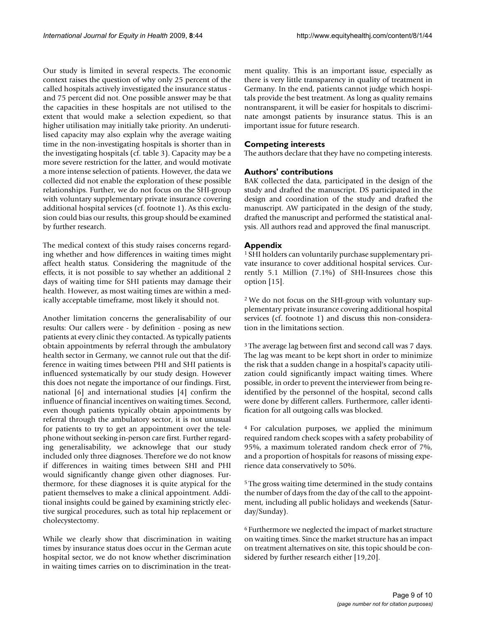Our study is limited in several respects. The economic context raises the question of why only 25 percent of the called hospitals actively investigated the insurance status and 75 percent did not. One possible answer may be that the capacities in these hospitals are not utilised to the extent that would make a selection expedient, so that higher utilisation may initially take priority. An underutilised capacity may also explain why the average waiting time in the non-investigating hospitals is shorter than in the investigating hospitals (cf. table 3). Capacity may be a more severe restriction for the latter, and would motivate a more intense selection of patients. However, the data we collected did not enable the exploration of these possible relationships. Further, we do not focus on the SHI-group with voluntary supplementary private insurance covering additional hospital services (cf. footnote 1). As this exclusion could bias our results, this group should be examined by further research.

The medical context of this study raises concerns regarding whether and how differences in waiting times might affect health status. Considering the magnitude of the effects, it is not possible to say whether an additional 2 days of waiting time for SHI patients may damage their health. However, as most waiting times are within a medically acceptable timeframe, most likely it should not.

Another limitation concerns the generalisability of our results: Our callers were - by definition - posing as new patients at every clinic they contacted. As typically patients obtain appointments by referral through the ambulatory health sector in Germany, we cannot rule out that the difference in waiting times between PHI and SHI patients is influenced systematically by our study design. However this does not negate the importance of our findings. First, national [6] and international studies [4] confirm the influence of financial incentives on waiting times. Second, even though patients typically obtain appointments by referral through the ambulatory sector, it is not unusual for patients to try to get an appointment over the telephone without seeking in-person care first. Further regarding generalisability, we acknowlege that our study included only three diagnoses. Therefore we do not know if differences in waiting times between SHI and PHI would significantly change given other diagnoses. Furthermore, for these diagnoses it is quite atypical for the patient themselves to make a clinical appointment. Additional insights could be gained by examining strictly elective surgical procedures, such as total hip replacement or cholecystectomy.

While we clearly show that discrimination in waiting times by insurance status does occur in the German acute hospital sector, we do not know whether discrimination in waiting times carries on to discrimination in the treatment quality. This is an important issue, especially as there is very little transparency in quality of treatment in Germany. In the end, patients cannot judge which hospitals provide the best treatment. As long as quality remains nontransparent, it will be easier for hospitals to discriminate amongst patients by insurance status. This is an important issue for future research.

# **Competing interests**

The authors declare that they have no competing interests.

# **Authors' contributions**

BAK collected the data, participated in the design of the study and drafted the manuscript. DS participated in the design and coordination of the study and drafted the manuscript. AW participated in the design of the study, drafted the manuscript and performed the statistical analysis. All authors read and approved the final manuscript.

# **Appendix**

<sup>1</sup> SHI holders can voluntarily purchase supplementary private insurance to cover additional hospital services. Currently 5.1 Million (7.1%) of SHI-Insurees chose this option [15].

2 We do not focus on the SHI-group with voluntary supplementary private insurance covering additional hospital services (cf. footnote 1) and discuss this non-consideration in the limitations section.

3 The average lag between first and second call was 7 days. The lag was meant to be kept short in order to minimize the risk that a sudden change in a hospital's capacity utilization could significantly impact waiting times. Where possible, in order to prevent the interviewer from being reidentified by the personnel of the hospital, second calls were done by different callers. Furthermore, caller identification for all outgoing calls was blocked.

4 For calculation purposes, we applied the minimum required random check scopes with a safety probability of 95%, a maximum tolerated random check error of 7%, and a proportion of hospitals for reasons of missing experience data conservatively to 50%.

5 The gross waiting time determined in the study contains the number of days from the day of the call to the appointment, including all public holidays and weekends (Saturday/Sunday).

6 Furthermore we neglected the impact of market structure on waiting times. Since the market structure has an impact on treatment alternatives on site, this topic should be considered by further research either [19,20].